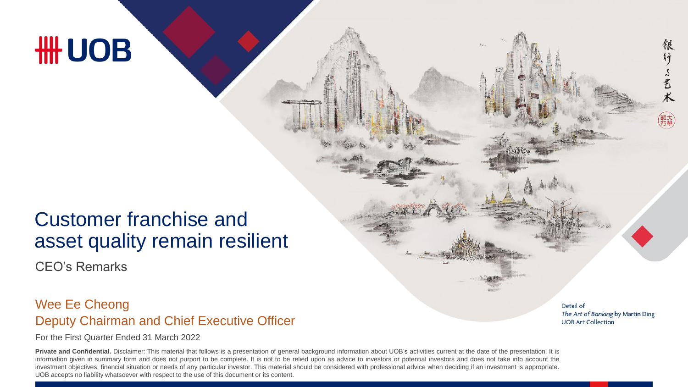# **HH UOB**

## Customer franchise and asset quality remain resilient

CEO's Remarks

### Deputy Chairman and Chief Executive Officer Wee Ee Cheong

For the First Quarter Ended 31 March 2022

**Private and Confidential.** Disclaimer: This material that follows is a presentation of general background information about UOB's activities current at the date of the presentation. It is information given in summary form and does not purport to be complete. It is not to be relied upon as advice to investors or potential investors and does not take into account the investment objectives, financial situation or needs of any particular investor. This material should be considered with professional advice when deciding if an investment is appropriate. UOB accepts no liability whatsoever with respect to the use of this document or its content.

Detail of The Art of Banking by Martin Ding **UOB Art Collection** 

稂 行

了艺术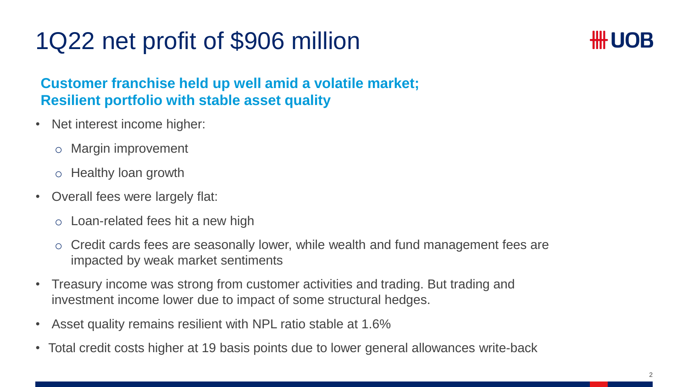# 1Q22 net profit of \$906 million



### **Customer franchise held up well amid a volatile market; Resilient portfolio with stable asset quality**

- Net interest income higher:
	- o Margin improvement
	- o Healthy loan growth
- Overall fees were largely flat:
	- o Loan-related fees hit a new high
	- o Credit cards fees are seasonally lower, while wealth and fund management fees are impacted by weak market sentiments
- Treasury income was strong from customer activities and trading. But trading and investment income lower due to impact of some structural hedges.
- Asset quality remains resilient with NPL ratio stable at 1.6%
- Total credit costs higher at 19 basis points due to lower general allowances write-back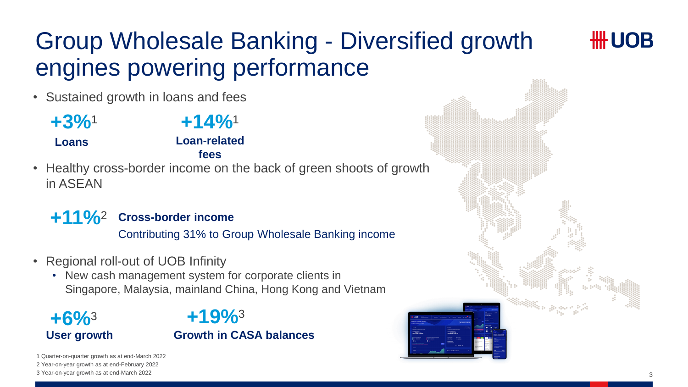# Group Wholesale Banking - Diversified growth engines powering performance

- Sustained growth in loans and fees
	- **+3%**<sup>1</sup> **Loans +14%**<sup>1</sup> **Loan-related fees**
- Healthy cross-border income on the back of green shoots of growth in ASEAN

## **+11%**<sup>2</sup> **Cross-border income**

Contributing 31% to Group Wholesale Banking income

- Regional roll-out of UOB Infinity
	- New cash management system for corporate clients in Singapore, Malaysia, mainland China, Hong Kong and Vietnam

**+6%**<sup>3</sup>

## **User growth Growth in CASA balances +19%**3



1 Quarter-on-quarter growth as at end-March 2022 2 Year-on-year growth as at end-February 2022

3 Year-on-year growth as at end-March 2022

**\HH UOB**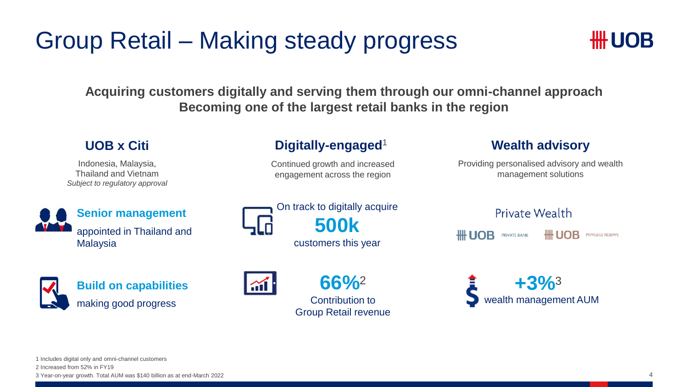# Group Retail – Making steady progress



**Acquiring customers digitally and serving them through our omni-channel approach Becoming one of the largest retail banks in the region** 

**Digitally-engaged**<sup>1</sup>

Continued growth and increased engagement across the region

On track to digitally acquire

**500k**

customers this year

### **UOB x Citi**

Indonesia, Malaysia, Thailand and Vietnam *Subject to regulatory approval*







Contribution to

Group Retail revenue

### **Wealth advisory**

Providing personalised advisory and wealth management solutions

Private Wealth

**HH UOB** PRIVATE BANK ## UOB PRIVILEGE RESERVE

wealth management AUM **66%**<sup>2</sup> **+3%**<sup>3</sup>

1 Includes digital only and omni-channel customers

2 Increased from 52% in FY19

3 Year-on-year growth. Total AUM was \$140 billion as at end-March 2022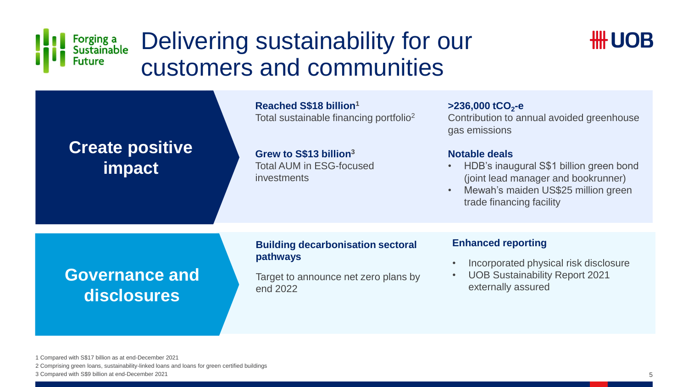

## Delivering sustainability for our customers and communities

**Reached S\$18 billion<sup>1</sup>** Total sustainable financing portfolio<sup>2</sup>

**Grew to S\$13 billion<sup>3</sup>** Total AUM in ESG-focused investments

#### **>236,000 tCO<sup>2</sup> -e**

Contribution to annual avoided greenhouse gas emissions

**HH UOB** 

#### **Notable deals**

- HDB's inaugural S\$1 billion green bond (joint lead manager and bookrunner)
- Mewah's maiden US\$25 million green trade financing facility

#### **Building decarbonisation sectoral pathways**

**Governance and disclosures**

**Create positive** 

**impact**

Target to announce net zero plans by end 2022

#### **Enhanced reporting**

- Incorporated physical risk disclosure
- UOB Sustainability Report 2021 externally assured

1 Compared with S\$17 billion as at end-December 2021

2 Comprising green loans, sustainability-linked loans and loans for green certified buildings

3 Compared with S\$9 billion at end-December 2021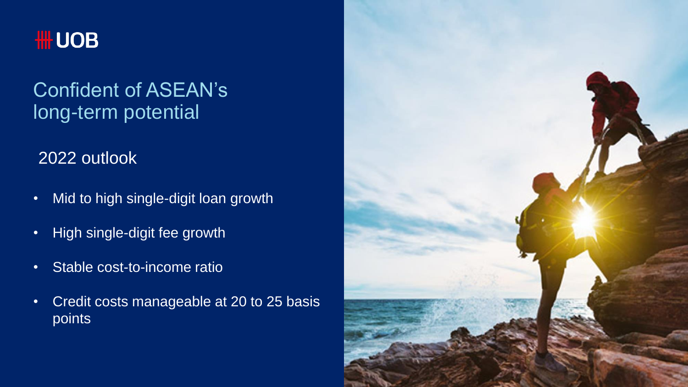

## Confident of ASEAN's long-term potential

### 2022 outlook

- Mid to high single-digit loan growth
- High single-digit fee growth
- Stable cost-to-income ratio
- Credit costs manageable at 20 to 25 basis points